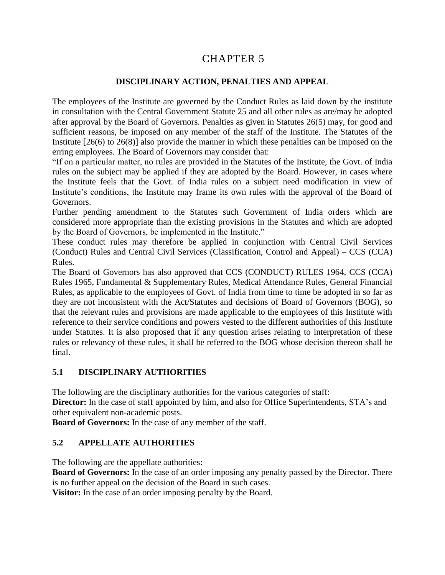# 5 CHAPTER 5

### **DISCIPLINARY ACTION, PENALTIES AND APPEAL**

The employees of the Institute are governed by the Conduct Rules as laid down by the institute in consultation with the Central Government Statute 25 and all other rules as are/may be adopted after approval by the Board of Governors. Penalties as given in Statutes 26(5) may, for good and sufficient reasons, be imposed on any member of the staff of the Institute. The Statutes of the Institute [26(6) to 26(8)] also provide the manner in which these penalties can be imposed on the erring employees. The Board of Governors may consider that:

"If on a particular matter, no rules are provided in the Statutes of the Institute, the Govt. of India rules on the subject may be applied if they are adopted by the Board. However, in cases where the Institute feels that the Govt. of India rules on a subject need modification in view of Institute's conditions, the Institute may frame its own rules with the approval of the Board of Governors.

Further pending amendment to the Statutes such Government of India orders which are considered more appropriate than the existing provisions in the Statutes and which are adopted by the Board of Governors, be implemented in the Institute."

These conduct rules may therefore be applied in conjunction with Central Civil Services (Conduct) Rules and Central Civil Services (Classification, Control and Appeal) – CCS (CCA) Rules.

The Board of Governors has also approved that CCS (CONDUCT) RULES 1964, CCS (CCA) Rules 1965, Fundamental & Supplementary Rules, Medical Attendance Rules, General Financial Rules, as applicable to the employees of Govt. of India from time to time be adopted in so far as they are not inconsistent with the Act/Statutes and decisions of Board of Governors (BOG), so that the relevant rules and provisions are made applicable to the employees of this Institute with reference to their service conditions and powers vested to the different authorities of this Institute under Statutes. It is also proposed that if any question arises relating to interpretation of these rules or relevancy of these rules, it shall be referred to the BOG whose decision thereon shall be final.

### **5.1 DISCIPLINARY AUTHORITIES**

The following are the disciplinary authorities for the various categories of staff:

Director: In the case of staff appointed by him, and also for Office Superintendents, STA's and other equivalent non-academic posts.

**Board of Governors:** In the case of any member of the staff.

### **5.2 APPELLATE AUTHORITIES**

The following are the appellate authorities:

**Board of Governors:** In the case of an order imposing any penalty passed by the Director. There is no further appeal on the decision of the Board in such cases.

**Visitor:** In the case of an order imposing penalty by the Board.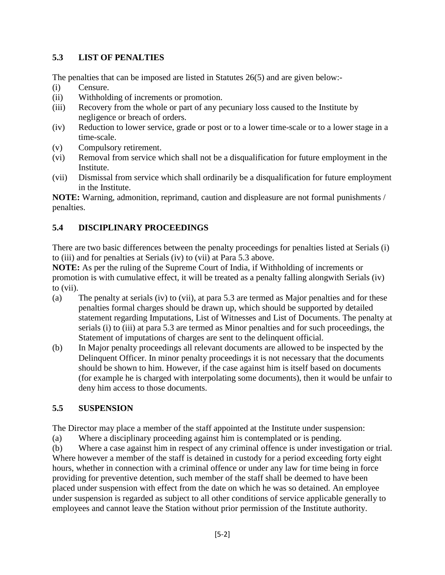# **5.3 LIST OF PENALTIES**

The penalties that can be imposed are listed in Statutes 26(5) and are given below:-

- (i) Censure.
- (ii) Withholding of increments or promotion.
- (iii) Recovery from the whole or part of any pecuniary loss caused to the Institute by negligence or breach of orders.
- (iv) Reduction to lower service, grade or post or to a lower time-scale or to a lower stage in a time-scale.
- (v) Compulsory retirement.
- (vi) Removal from service which shall not be a disqualification for future employment in the Institute.
- (vii) Dismissal from service which shall ordinarily be a disqualification for future employment in the Institute.

**NOTE:** Warning, admonition, reprimand, caution and displeasure are not formal punishments / penalties.

# **5.4 DISCIPLINARY PROCEEDINGS**

There are two basic differences between the penalty proceedings for penalties listed at Serials (i) to (iii) and for penalties at Serials (iv) to (vii) at Para 5.3 above.

**NOTE:** As per the ruling of the Supreme Court of India, if Withholding of increments or promotion is with cumulative effect, it will be treated as a penalty falling alongwith Serials (iv) to (vii).

- (a) The penalty at serials (iv) to (vii), at para 5.3 are termed as Major penalties and for these penalties formal charges should be drawn up, which should be supported by detailed statement regarding Imputations, List of Witnesses and List of Documents. The penalty at serials (i) to (iii) at para 5.3 are termed as Minor penalties and for such proceedings, the Statement of imputations of charges are sent to the delinquent official.
- (b) In Major penalty proceedings all relevant documents are allowed to be inspected by the Delinquent Officer. In minor penalty proceedings it is not necessary that the documents should be shown to him. However, if the case against him is itself based on documents (for example he is charged with interpolating some documents), then it would be unfair to deny him access to those documents.

# **5.5 SUSPENSION**

The Director may place a member of the staff appointed at the Institute under suspension:

(a) Where a disciplinary proceeding against him is contemplated or is pending.

(b) Where a case against him in respect of any criminal offence is under investigation or trial. Where however a member of the staff is detained in custody for a period exceeding forty eight hours, whether in connection with a criminal offence or under any law for time being in force providing for preventive detention, such member of the staff shall be deemed to have been placed under suspension with effect from the date on which he was so detained. An employee under suspension is regarded as subject to all other conditions of service applicable generally to employees and cannot leave the Station without prior permission of the Institute authority.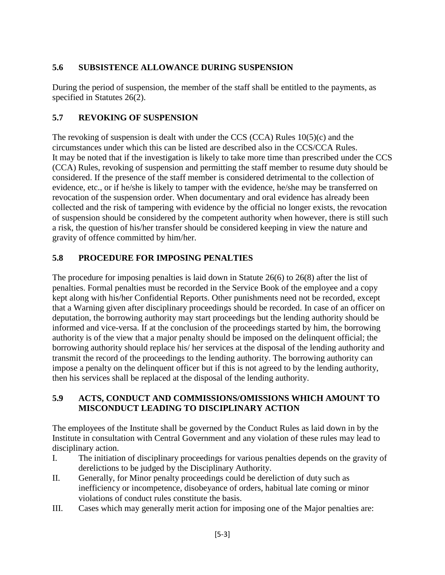# **5.6 SUBSISTENCE ALLOWANCE DURING SUSPENSION**

During the period of suspension, the member of the staff shall be entitled to the payments, as specified in Statutes 26(2).

## **5.7 REVOKING OF SUSPENSION**

The revoking of suspension is dealt with under the CCS (CCA) Rules 10(5)(c) and the circumstances under which this can be listed are described also in the CCS/CCA Rules. It may be noted that if the investigation is likely to take more time than prescribed under the CCS (CCA) Rules, revoking of suspension and permitting the staff member to resume duty should be considered. If the presence of the staff member is considered detrimental to the collection of evidence, etc., or if he/she is likely to tamper with the evidence, he/she may be transferred on revocation of the suspension order. When documentary and oral evidence has already been collected and the risk of tampering with evidence by the official no longer exists, the revocation of suspension should be considered by the competent authority when however, there is still such a risk, the question of his/her transfer should be considered keeping in view the nature and gravity of offence committed by him/her.

# **5.8 PROCEDURE FOR IMPOSING PENALTIES**

The procedure for imposing penalties is laid down in Statute 26(6) to 26(8) after the list of penalties. Formal penalties must be recorded in the Service Book of the employee and a copy kept along with his/her Confidential Reports. Other punishments need not be recorded, except that a Warning given after disciplinary proceedings should be recorded. In case of an officer on deputation, the borrowing authority may start proceedings but the lending authority should be informed and vice-versa. If at the conclusion of the proceedings started by him, the borrowing authority is of the view that a major penalty should be imposed on the delinquent official; the borrowing authority should replace his/ her services at the disposal of the lending authority and transmit the record of the proceedings to the lending authority. The borrowing authority can impose a penalty on the delinquent officer but if this is not agreed to by the lending authority, then his services shall be replaced at the disposal of the lending authority.

# **5.9 ACTS, CONDUCT AND COMMISSIONS/OMISSIONS WHICH AMOUNT TO MISCONDUCT LEADING TO DISCIPLINARY ACTION**

The employees of the Institute shall be governed by the Conduct Rules as laid down in by the Institute in consultation with Central Government and any violation of these rules may lead to disciplinary action.

- I. The initiation of disciplinary proceedings for various penalties depends on the gravity of derelictions to be judged by the Disciplinary Authority.
- II. Generally, for Minor penalty proceedings could be dereliction of duty such as inefficiency or incompetence, disobeyance of orders, habitual late coming or minor violations of conduct rules constitute the basis.
- III. Cases which may generally merit action for imposing one of the Major penalties are: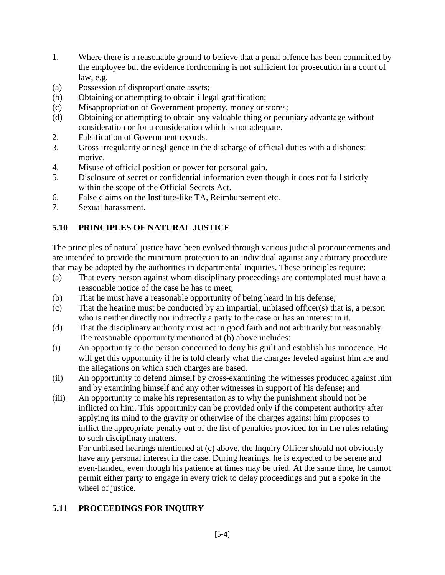- 1. Where there is a reasonable ground to believe that a penal offence has been committed by the employee but the evidence forthcoming is not sufficient for prosecution in a court of law, e.g.
- (a) Possession of disproportionate assets;
- (b) Obtaining or attempting to obtain illegal gratification;
- (c) Misappropriation of Government property, money or stores;
- (d) Obtaining or attempting to obtain any valuable thing or pecuniary advantage without consideration or for a consideration which is not adequate.
- 2. Falsification of Government records.
- 3. Gross irregularity or negligence in the discharge of official duties with a dishonest motive.
- 4. Misuse of official position or power for personal gain.
- 5. Disclosure of secret or confidential information even though it does not fall strictly within the scope of the Official Secrets Act.
- 6. False claims on the Institute-like TA, Reimbursement etc.
- 7. Sexual harassment.

# **5.10 PRINCIPLES OF NATURAL JUSTICE**

The principles of natural justice have been evolved through various judicial pronouncements and are intended to provide the minimum protection to an individual against any arbitrary procedure that may be adopted by the authorities in departmental inquiries. These principles require:

- (a) That every person against whom disciplinary proceedings are contemplated must have a reasonable notice of the case he has to meet;
- (b) That he must have a reasonable opportunity of being heard in his defense;
- (c) That the hearing must be conducted by an impartial, unbiased officer(s) that is, a person who is neither directly nor indirectly a party to the case or has an interest in it.
- (d) That the disciplinary authority must act in good faith and not arbitrarily but reasonably. The reasonable opportunity mentioned at (b) above includes:
- (i) An opportunity to the person concerned to deny his guilt and establish his innocence. He will get this opportunity if he is told clearly what the charges leveled against him are and the allegations on which such charges are based.
- (ii) An opportunity to defend himself by cross-examining the witnesses produced against him and by examining himself and any other witnesses in support of his defense; and
- (iii) An opportunity to make his representation as to why the punishment should not be inflicted on him. This opportunity can be provided only if the competent authority after applying its mind to the gravity or otherwise of the charges against him proposes to inflict the appropriate penalty out of the list of penalties provided for in the rules relating to such disciplinary matters.

For unbiased hearings mentioned at (c) above, the Inquiry Officer should not obviously have any personal interest in the case. During hearings, he is expected to be serene and even-handed, even though his patience at times may be tried. At the same time, he cannot permit either party to engage in every trick to delay proceedings and put a spoke in the wheel of justice.

# **5.11 PROCEEDINGS FOR INQUIRY**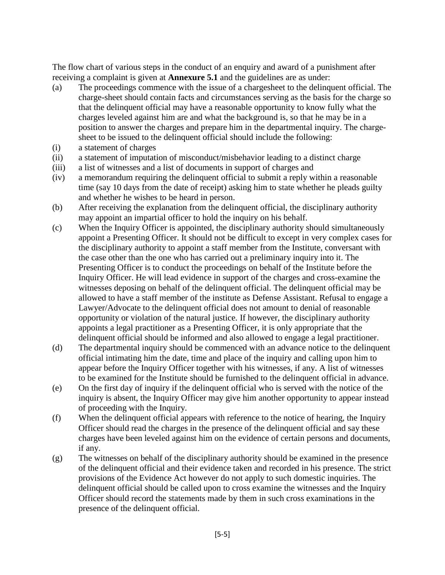The flow chart of various steps in the conduct of an enquiry and award of a punishment after receiving a complaint is given at **Annexure 5.1** and the guidelines are as under:

- (a) The proceedings commence with the issue of a chargesheet to the delinquent official. The charge-sheet should contain facts and circumstances serving as the basis for the charge so that the delinquent official may have a reasonable opportunity to know fully what the charges leveled against him are and what the background is, so that he may be in a position to answer the charges and prepare him in the departmental inquiry. The chargesheet to be issued to the delinquent official should include the following:
- (i) a statement of charges
- (ii) a statement of imputation of misconduct/misbehavior leading to a distinct charge
- (iii) a list of witnesses and a list of documents in support of charges and
- (iv) a memorandum requiring the delinquent official to submit a reply within a reasonable time (say 10 days from the date of receipt) asking him to state whether he pleads guilty and whether he wishes to be heard in person.
- (b) After receiving the explanation from the delinquent official, the disciplinary authority may appoint an impartial officer to hold the inquiry on his behalf.
- (c) When the Inquiry Officer is appointed, the disciplinary authority should simultaneously appoint a Presenting Officer. It should not be difficult to except in very complex cases for the disciplinary authority to appoint a staff member from the Institute, conversant with the case other than the one who has carried out a preliminary inquiry into it. The Presenting Officer is to conduct the proceedings on behalf of the Institute before the Inquiry Officer. He will lead evidence in support of the charges and cross-examine the witnesses deposing on behalf of the delinquent official. The delinquent official may be allowed to have a staff member of the institute as Defense Assistant. Refusal to engage a Lawyer/Advocate to the delinquent official does not amount to denial of reasonable opportunity or violation of the natural justice. If however, the disciplinary authority appoints a legal practitioner as a Presenting Officer, it is only appropriate that the delinquent official should be informed and also allowed to engage a legal practitioner.
- (d) The departmental inquiry should be commenced with an advance notice to the delinquent official intimating him the date, time and place of the inquiry and calling upon him to appear before the Inquiry Officer together with his witnesses, if any. A list of witnesses to be examined for the Institute should be furnished to the delinquent official in advance.
- (e) On the first day of inquiry if the delinquent official who is served with the notice of the inquiry is absent, the Inquiry Officer may give him another opportunity to appear instead of proceeding with the Inquiry.
- (f) When the delinquent official appears with reference to the notice of hearing, the Inquiry Officer should read the charges in the presence of the delinquent official and say these charges have been leveled against him on the evidence of certain persons and documents, if any.
- (g) The witnesses on behalf of the disciplinary authority should be examined in the presence of the delinquent official and their evidence taken and recorded in his presence. The strict provisions of the Evidence Act however do not apply to such domestic inquiries. The delinquent official should be called upon to cross examine the witnesses and the Inquiry Officer should record the statements made by them in such cross examinations in the presence of the delinquent official.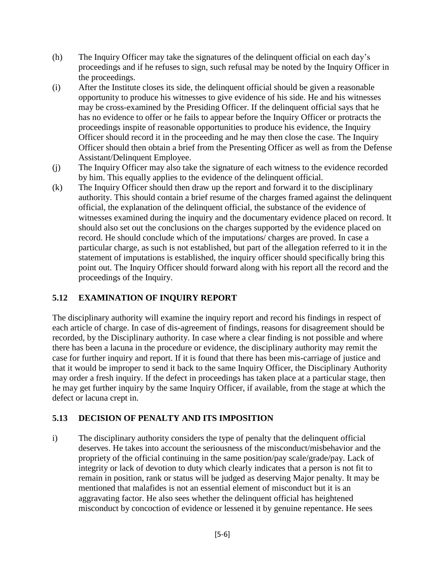- (h) The Inquiry Officer may take the signatures of the delinquent official on each day's proceedings and if he refuses to sign, such refusal may be noted by the Inquiry Officer in the proceedings.
- (i) After the Institute closes its side, the delinquent official should be given a reasonable opportunity to produce his witnesses to give evidence of his side. He and his witnesses may be cross-examined by the Presiding Officer. If the delinquent official says that he has no evidence to offer or he fails to appear before the Inquiry Officer or protracts the proceedings inspite of reasonable opportunities to produce his evidence, the Inquiry Officer should record it in the proceeding and he may then close the case. The Inquiry Officer should then obtain a brief from the Presenting Officer as well as from the Defense Assistant/Delinquent Employee.
- (j) The Inquiry Officer may also take the signature of each witness to the evidence recorded by him. This equally applies to the evidence of the delinquent official.
- (k) The Inquiry Officer should then draw up the report and forward it to the disciplinary authority. This should contain a brief resume of the charges framed against the delinquent official, the explanation of the delinquent official, the substance of the evidence of witnesses examined during the inquiry and the documentary evidence placed on record. It should also set out the conclusions on the charges supported by the evidence placed on record. He should conclude which of the imputations/ charges are proved. In case a particular charge, as such is not established, but part of the allegation referred to it in the statement of imputations is established, the inquiry officer should specifically bring this point out. The Inquiry Officer should forward along with his report all the record and the proceedings of the Inquiry.

# **5.12 EXAMINATION OF INQUIRY REPORT**

The disciplinary authority will examine the inquiry report and record his findings in respect of each article of charge. In case of dis-agreement of findings, reasons for disagreement should be recorded, by the Disciplinary authority. In case where a clear finding is not possible and where there has been a lacuna in the procedure or evidence, the disciplinary authority may remit the case for further inquiry and report. If it is found that there has been mis-carriage of justice and that it would be improper to send it back to the same Inquiry Officer, the Disciplinary Authority may order a fresh inquiry. If the defect in proceedings has taken place at a particular stage, then he may get further inquiry by the same Inquiry Officer, if available, from the stage at which the defect or lacuna crept in.

# **5.13 DECISION OF PENALTY AND ITS IMPOSITION**

i) The disciplinary authority considers the type of penalty that the delinquent official deserves. He takes into account the seriousness of the misconduct/misbehavior and the propriety of the official continuing in the same position/pay scale/grade/pay. Lack of integrity or lack of devotion to duty which clearly indicates that a person is not fit to remain in position, rank or status will be judged as deserving Major penalty. It may be mentioned that malafides is not an essential element of misconduct but it is an aggravating factor. He also sees whether the delinquent official has heightened misconduct by concoction of evidence or lessened it by genuine repentance. He sees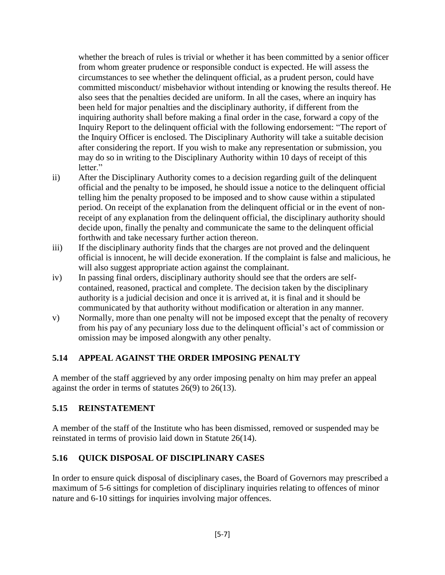whether the breach of rules is trivial or whether it has been committed by a senior officer from whom greater prudence or responsible conduct is expected. He will assess the circumstances to see whether the delinquent official, as a prudent person, could have committed misconduct/ misbehavior without intending or knowing the results thereof. He also sees that the penalties decided are uniform. In all the cases, where an inquiry has been held for major penalties and the disciplinary authority, if different from the inquiring authority shall before making a final order in the case, forward a copy of the Inquiry Report to the delinquent official with the following endorsement: "The report of the Inquiry Officer is enclosed. The Disciplinary Authority will take a suitable decision after considering the report. If you wish to make any representation or submission, you may do so in writing to the Disciplinary Authority within 10 days of receipt of this letter"

- ii) After the Disciplinary Authority comes to a decision regarding guilt of the delinquent official and the penalty to be imposed, he should issue a notice to the delinquent official telling him the penalty proposed to be imposed and to show cause within a stipulated period. On receipt of the explanation from the delinquent official or in the event of nonreceipt of any explanation from the delinquent official, the disciplinary authority should decide upon, finally the penalty and communicate the same to the delinquent official forthwith and take necessary further action thereon.
- iii) If the disciplinary authority finds that the charges are not proved and the delinquent official is innocent, he will decide exoneration. If the complaint is false and malicious, he will also suggest appropriate action against the complainant.
- iv) In passing final orders, disciplinary authority should see that the orders are selfcontained, reasoned, practical and complete. The decision taken by the disciplinary authority is a judicial decision and once it is arrived at, it is final and it should be communicated by that authority without modification or alteration in any manner.
- v) Normally, more than one penalty will not be imposed except that the penalty of recovery from his pay of any pecuniary loss due to the delinquent official's act of commission or omission may be imposed alongwith any other penalty.

### **5.14 APPEAL AGAINST THE ORDER IMPOSING PENALTY**

A member of the staff aggrieved by any order imposing penalty on him may prefer an appeal against the order in terms of statutes 26(9) to 26(13).

### **5.15 REINSTATEMENT**

A member of the staff of the Institute who has been dismissed, removed or suspended may be reinstated in terms of provisio laid down in Statute 26(14).

### **5.16 QUICK DISPOSAL OF DISCIPLINARY CASES**

In order to ensure quick disposal of disciplinary cases, the Board of Governors may prescribed a maximum of 5-6 sittings for completion of disciplinary inquiries relating to offences of minor nature and 6-10 sittings for inquiries involving major offences.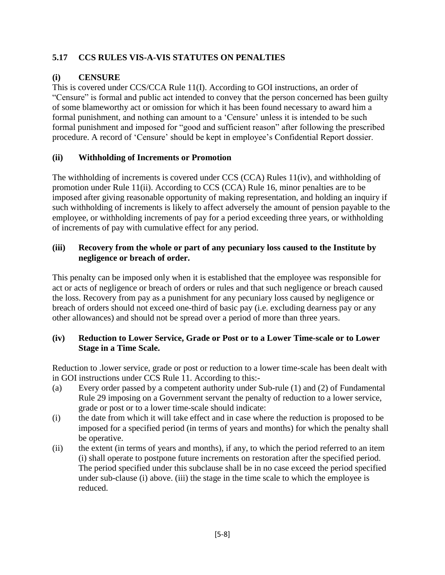# **5.17 CCS RULES VIS-A-VIS STATUTES ON PENALTIES**

# **(i) CENSURE**

This is covered under CCS/CCA Rule 11(I). According to GOI instructions, an order of "Censure" is formal and public act intended to convey that the person concerned has been guilty of some blameworthy act or omission for which it has been found necessary to award him a formal punishment, and nothing can amount to a 'Censure' unless it is intended to be such formal punishment and imposed for "good and sufficient reason" after following the prescribed procedure. A record of 'Censure' should be kept in employee's Confidential Report dossier.

# **(ii) Withholding of Increments or Promotion**

The withholding of increments is covered under CCS (CCA) Rules 11(iv), and withholding of promotion under Rule 11(ii). According to CCS (CCA) Rule 16, minor penalties are to be imposed after giving reasonable opportunity of making representation, and holding an inquiry if such withholding of increments is likely to affect adversely the amount of pension payable to the employee, or withholding increments of pay for a period exceeding three years, or withholding of increments of pay with cumulative effect for any period.

## **(iii) Recovery from the whole or part of any pecuniary loss caused to the Institute by negligence or breach of order.**

This penalty can be imposed only when it is established that the employee was responsible for act or acts of negligence or breach of orders or rules and that such negligence or breach caused the loss. Recovery from pay as a punishment for any pecuniary loss caused by negligence or breach of orders should not exceed one-third of basic pay (i.e. excluding dearness pay or any other allowances) and should not be spread over a period of more than three years.

### **(iv) Reduction to Lower Service, Grade or Post or to a Lower Time-scale or to Lower Stage in a Time Scale.**

Reduction to .lower service, grade or post or reduction to a lower time-scale has been dealt with in GOI instructions under CCS Rule 11. According to this:-

- (a) Every order passed by a competent authority under Sub-rule (1) and (2) of Fundamental Rule 29 imposing on a Government servant the penalty of reduction to a lower service, grade or post or to a lower time-scale should indicate:
- (i) the date from which it will take effect and in case where the reduction is proposed to be imposed for a specified period (in terms of years and months) for which the penalty shall be operative.
- (ii) the extent (in terms of years and months), if any, to which the period referred to an item (i) shall operate to postpone future increments on restoration after the specified period. The period specified under this subclause shall be in no case exceed the period specified under sub-clause (i) above. (iii) the stage in the time scale to which the employee is reduced.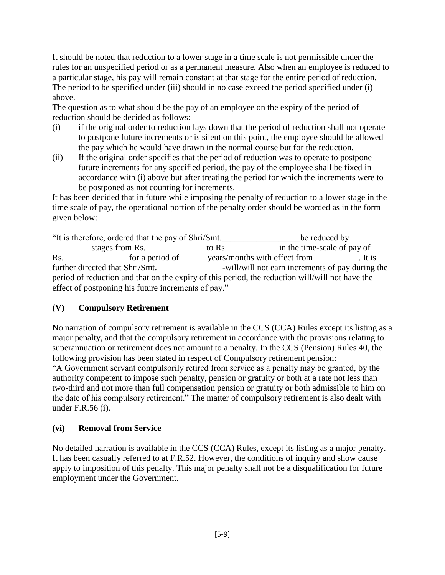It should be noted that reduction to a lower stage in a time scale is not permissible under the rules for an unspecified period or as a permanent measure. Also when an employee is reduced to a particular stage, his pay will remain constant at that stage for the entire period of reduction. The period to be specified under (iii) should in no case exceed the period specified under (i) above.

The question as to what should be the pay of an employee on the expiry of the period of reduction should be decided as follows:

- (i) if the original order to reduction lays down that the period of reduction shall not operate to postpone future increments or is silent on this point, the employee should be allowed the pay which he would have drawn in the normal course but for the reduction.
- (ii) If the original order specifies that the period of reduction was to operate to postpone future increments for any specified period, the pay of the employee shall be fixed in accordance with (i) above but after treating the period for which the increments were to be postponed as not counting for increments.

It has been decided that in future while imposing the penalty of reduction to a lower stage in the time scale of pay, the operational portion of the penalty order should be worded as in the form given below:

"It is therefore, ordered that the pay of Shri/Smt.\_\_\_\_\_\_\_\_\_\_\_\_\_\_\_\_\_\_be reduced by \_\_\_\_\_\_\_\_\_stages from Rs.\_\_\_\_\_\_\_\_\_\_\_\_\_\_to Rs.\_\_\_\_\_\_\_\_\_\_\_\_in the time-scale of pay of Rs.  $\overline{R}$  for a period of  $\overline{R}$  years/months with effect from  $\overline{R}$ . It is further directed that Shri/Smt. The same shall/will not earn increments of pay during the period of reduction and that on the expiry of this period, the reduction will/will not have the effect of postponing his future increments of pay."

# **(V) Compulsory Retirement**

No narration of compulsory retirement is available in the CCS (CCA) Rules except its listing as a major penalty, and that the compulsory retirement in accordance with the provisions relating to superannuation or retirement does not amount to a penalty. In the CCS (Pension) Rules 40, the following provision has been stated in respect of Compulsory retirement pension: "A Government servant compulsorily retired from service as a penalty may be granted, by the authority competent to impose such penalty, pension or gratuity or both at a rate not less than two-third and not more than full compensation pension or gratuity or both admissible to him on the date of his compulsory retirement." The matter of compulsory retirement is also dealt with under F.R.56 (i).

### **(vi) Removal from Service**

No detailed narration is available in the CCS (CCA) Rules, except its listing as a major penalty. It has been casually referred to at F.R.52. However, the conditions of inquiry and show cause apply to imposition of this penalty. This major penalty shall not be a disqualification for future employment under the Government.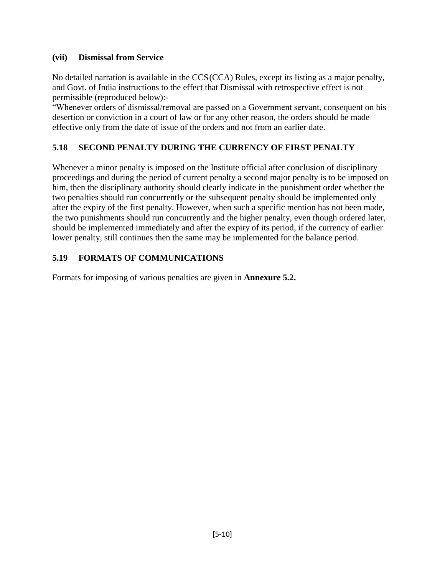### **(vii) Dismissal from Service**

No detailed narration is available in the CCS(CCA) Rules, except its listing as a major penalty, and Govt. of India instructions to the effect that Dismissal with retrospective effect is not permissible (reproduced below):-

"Whenever orders of dismissal/removal are passed on a Government servant, consequent on his desertion or conviction in a court of law or for any other reason, the orders should be made effective only from the date of issue of the orders and not from an earlier date.

# **5.18 SECOND PENALTY DURING THE CURRENCY OF FIRST PENALTY**

Whenever a minor penalty is imposed on the Institute official after conclusion of disciplinary proceedings and during the period of current penalty a second major penalty is to be imposed on him, then the disciplinary authority should clearly indicate in the punishment order whether the two penalties should run concurrently or the subsequent penalty should be implemented only after the expiry of the first penalty. However, when such a specific mention has not been made, the two punishments should run concurrently and the higher penalty, even though ordered later, should be implemented immediately and after the expiry of its period, if the currency of earlier lower penalty, still continues then the same may be implemented for the balance period.

# **5.19 FORMATS OF COMMUNICATIONS**

Formats for imposing of various penalties are given in **Annexure 5.2.**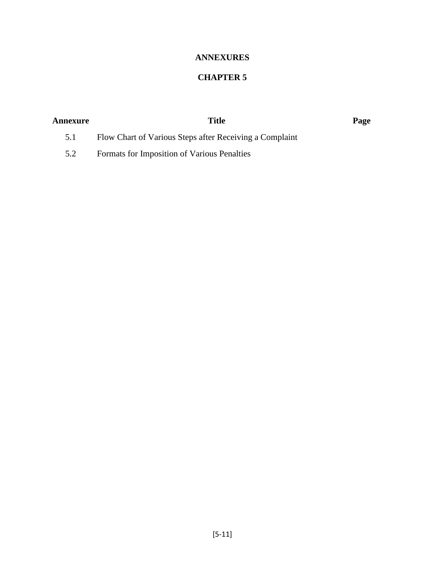# **ANNEXURES**

# **CHAPTER 5**

| Annexure | Title                                                   | Page |
|----------|---------------------------------------------------------|------|
|          | Flow Chart of Various Steps after Receiving a Complaint |      |

5.2 Formats for Imposition of Various Penalties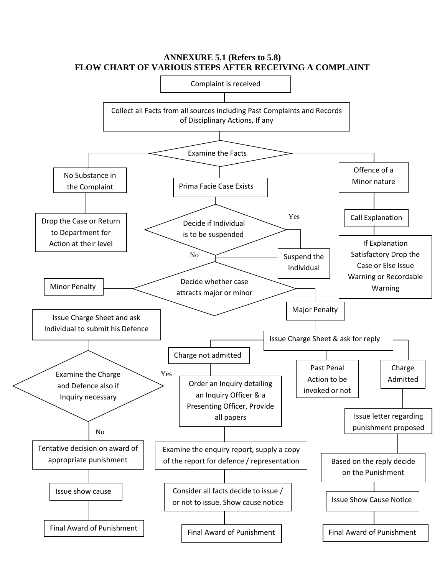

### **ANNEXURE 5.1 (Refers to 5.8) FLOW CHART OF VARIOUS STEPS AFTER RECEIVING A COMPLAINT**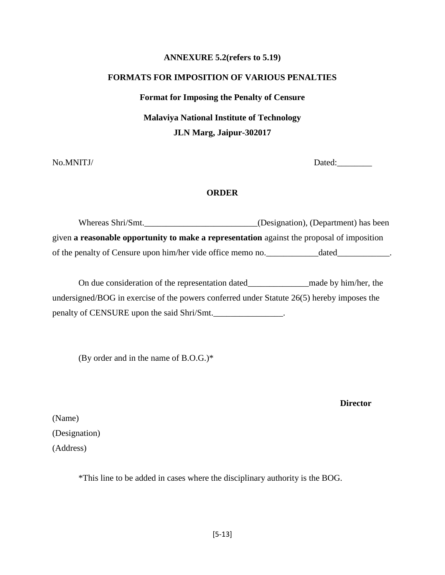### **ANNEXURE 5.2(refers to 5.19)**

# **FORMATS FOR IMPOSITION OF VARIOUS PENALTIES Format for Imposing the Penalty of Censure Malaviya National Institute of Technology JLN Marg, Jaipur-302017**

No.MNITJ/ Dated:

### **ORDER**

Whereas Shri/Smt. \_\_\_\_\_\_\_\_\_\_\_\_\_\_\_\_\_\_\_\_\_\_\_(Designation), (Department) has been given **a reasonable opportunity to make a representation** against the proposal of imposition of the penalty of Censure upon him/her vide office memo no. \_\_\_\_\_\_\_\_\_\_\_\_\_\_\_\_\_\_\_\_\_\_\_\_\_\_\_\_\_.

On due consideration of the representation dated\_\_\_\_\_\_\_\_\_\_\_\_\_\_made by him/her, the undersigned/BOG in exercise of the powers conferred under Statute 26(5) hereby imposes the penalty of CENSURE upon the said Shri/Smt.

(By order and in the name of  $B.O.G.$ )\*

**Director**

(Name) (Designation) (Address)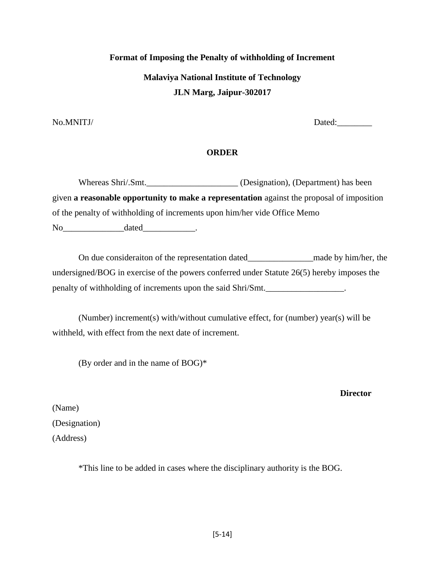# **Format of Imposing the Penalty of withholding of Increment Malaviya National Institute of Technology JLN Marg, Jaipur-302017**

No.MNITJ/ Dated:

### **ORDER**

Whereas Shri/.Smt.\_\_\_\_\_\_\_\_\_\_\_\_\_\_\_\_\_\_\_\_\_\_\_ (Designation), (Department) has been given **a reasonable opportunity to make a representation** against the proposal of imposition of the penalty of withholding of increments upon him/her vide Office Memo No dated .

On due consideraiton of the representation dated\_\_\_\_\_\_\_\_\_\_\_\_\_\_\_\_\_\_\_\_\_\_made by him/her, the undersigned/BOG in exercise of the powers conferred under Statute 26(5) hereby imposes the penalty of withholding of increments upon the said Shri/Smt.

(Number) increment(s) with/without cumulative effect, for (number) year(s) will be withheld, with effect from the next date of increment.

(By order and in the name of BOG)\*

### **Director**

(Name) (Designation) (Address)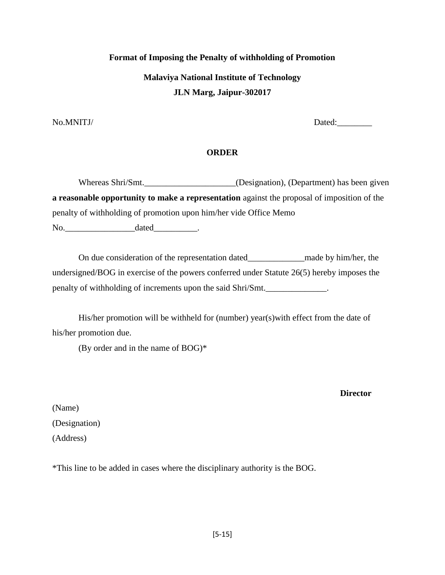## **Format of Imposing the Penalty of withholding of Promotion**

**Malaviya National Institute of Technology JLN Marg, Jaipur-302017**

No.MNITJ/ Dated:\_\_\_\_\_\_\_\_

### **ORDER**

Whereas Shri/Smt.\_\_\_\_\_\_\_\_\_\_\_\_\_\_\_\_\_\_\_(Designation), (Department) has been given **a reasonable opportunity to make a representation** against the proposal of imposition of the penalty of withholding of promotion upon him/her vide Office Memo No. ated the dated the contract of the dated the contract of  $\alpha$ 

On due consideration of the representation dated\_\_\_\_\_\_\_\_\_\_\_\_\_made by him/her, the undersigned/BOG in exercise of the powers conferred under Statute 26(5) hereby imposes the penalty of withholding of increments upon the said Shri/Smt.

His/her promotion will be withheld for (number) year(s) with effect from the date of his/her promotion due.

(By order and in the name of BOG)\*

**Director**

(Name) (Designation) (Address)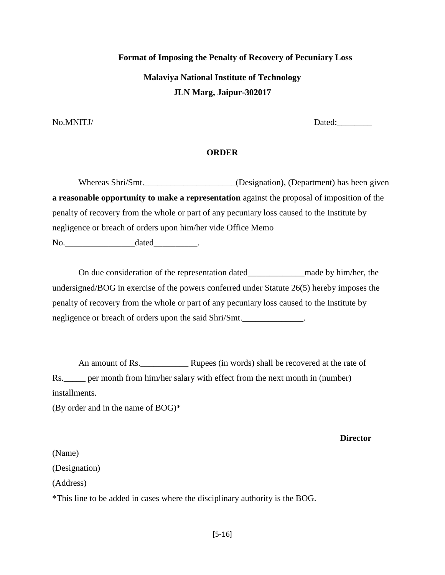**Format of Imposing the Penalty of Recovery of Pecuniary Loss Malaviya National Institute of Technology JLN Marg, Jaipur-302017**

No.MNITJ/ Dated:

### **ORDER**

Whereas Shri/Smt.\_\_\_\_\_\_\_\_\_\_\_\_\_\_\_\_\_\_\_\_\_(Designation), (Department) has been given **a reasonable opportunity to make a representation** against the proposal of imposition of the penalty of recovery from the whole or part of any pecuniary loss caused to the Institute by negligence or breach of orders upon him/her vide Office Memo

No. ated the dated the contract of the dated  $\alpha$ .

On due consideration of the representation dated made by him/her, the undersigned/BOG in exercise of the powers conferred under Statute 26(5) hereby imposes the penalty of recovery from the whole or part of any pecuniary loss caused to the Institute by negligence or breach of orders upon the said Shri/Smt.

An amount of Rs. <u>\_\_\_\_\_\_\_\_\_\_</u> Rupees (in words) shall be recovered at the rate of Rs.\_\_\_\_\_ per month from him/her salary with effect from the next month in (number) installments.

(By order and in the name of BOG)\*

**Director**

(Name) (Designation) (Address)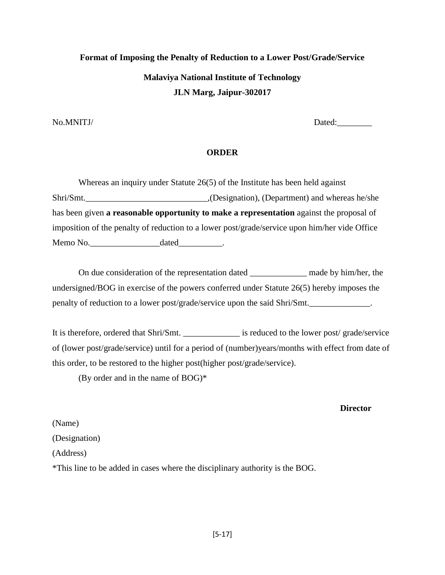# **Format of Imposing the Penalty of Reduction to a Lower Post/Grade/Service Malaviya National Institute of Technology JLN Marg, Jaipur-302017**

No.MNITJ/ Dated:

### **ORDER**

Whereas an inquiry under Statute 26(5) of the Institute has been held against Shri/Smt.\_\_\_\_\_\_\_\_\_\_\_\_\_\_\_\_\_\_\_\_\_\_\_\_\_\_\_\_,(Designation), (Department) and whereas he/she has been given **a reasonable opportunity to make a representation** against the proposal of imposition of the penalty of reduction to a lower post/grade/service upon him/her vide Office Memo No.  $\dots$  dated  $\dots$ 

On due consideration of the representation dated made by him/her, the undersigned/BOG in exercise of the powers conferred under Statute 26(5) hereby imposes the penalty of reduction to a lower post/grade/service upon the said Shri/Smt.\_\_\_\_\_\_\_\_\_\_\_\_\_\_.

It is therefore, ordered that Shri/Smt. \_\_\_\_\_\_\_\_\_\_\_\_\_ is reduced to the lower post/ grade/service of (lower post/grade/service) until for a period of (number)years/months with effect from date of this order, to be restored to the higher post(higher post/grade/service).

(By order and in the name of BOG)\*

### **Director**

(Name) (Designation) (Address) \*This line to be added in cases where the disciplinary authority is the BOG.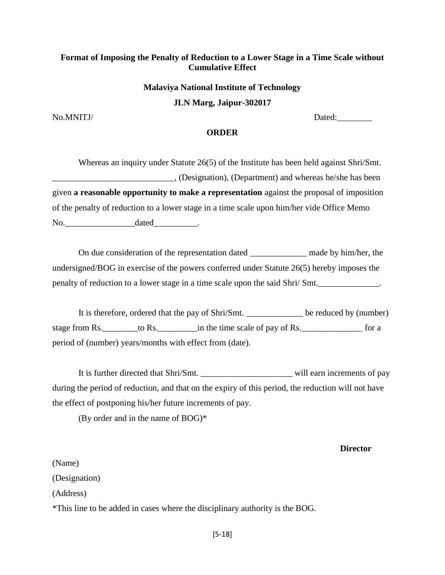### **Format of Imposing the Penalty of Reduction to a Lower Stage in a Time Scale without Cumulative Effect**

# **Malaviya National Institute of Technology JLN Marg, Jaipur-302017**

No.MNITJ/ Dated:

### **ORDER**

Whereas an inquiry under Statute 26(5) of the Institute has been held against Shri/Smt. \_\_\_\_\_\_\_\_\_\_\_\_\_\_\_\_\_\_\_\_\_\_\_\_\_\_\_\_, (Designation), (Department) and whereas he/she has been given **a reasonable opportunity to make a representation** against the proposal of imposition of the penalty of reduction to a lower stage in a time scale upon him/her vide Office Memo No. dated the contract of the contract of the dated the contract of the contract of the contract of the contract of the contract of the contract of the contract of the contract of the contract of the contract of the contra

On due consideration of the representation dated made by him/her, the undersigned/BOG in exercise of the powers conferred under Statute 26(5) hereby imposes the penalty of reduction to a lower stage in a time scale upon the said Shri/ Smt.

It is therefore, ordered that the pay of Shri/Smt. \_\_\_\_\_\_\_\_\_\_\_\_\_ be reduced by (number) stage from Rs.  $\qquad \qquad$  to Rs.  $\qquad \qquad$  in the time scale of pay of Rs.  $\qquad \qquad$  for a period of (number) years/months with effect from (date).

It is further directed that Shri/Smt. Will earn increments of pay during the period of reduction, and that on the expiry of this period, the reduction will not have the effect of postponing his/her future increments of pay.

(By order and in the name of BOG)\*

#### **Director**

(Name) (Designation) (Address)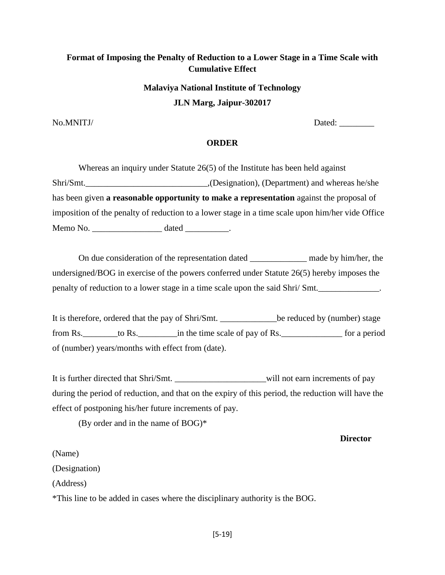# **Format of Imposing the Penalty of Reduction to a Lower Stage in a Time Scale with Cumulative Effect**

# **Malaviya National Institute of Technology JLN Marg, Jaipur-302017**

No.MNITJ/ Dated:

### **ORDER**

Whereas an inquiry under Statute 26(5) of the Institute has been held against Shri/Smt.\_\_\_\_\_\_\_\_\_\_\_\_\_\_\_\_\_\_\_\_\_\_\_\_\_\_\_\_,(Designation), (Department) and whereas he/she has been given **a reasonable opportunity to make a representation** against the proposal of imposition of the penalty of reduction to a lower stage in a time scale upon him/her vide Office Memo No. \_\_\_\_\_\_\_\_\_\_\_\_\_\_\_\_ dated \_\_\_\_\_\_\_\_\_\_.

On due consideration of the representation dated made by him/her, the undersigned/BOG in exercise of the powers conferred under Statute 26(5) hereby imposes the penalty of reduction to a lower stage in a time scale upon the said Shri/ Smt.

It is therefore, ordered that the pay of Shri/Smt. \_\_\_\_\_\_\_\_\_\_\_\_\_be reduced by (number) stage from Rs.\_\_\_\_\_\_\_\_to Rs.\_\_\_\_\_\_\_\_\_in the time scale of pay of Rs.\_\_\_\_\_\_\_\_\_\_\_\_\_\_ for a period of (number) years/months with effect from (date).

It is further directed that Shri/Smt. \_\_\_\_\_\_\_\_\_\_\_\_\_\_\_\_\_\_\_\_\_\_\_\_\_\_will not earn increments of pay during the period of reduction, and that on the expiry of this period, the reduction will have the effect of postponing his/her future increments of pay.

(By order and in the name of BOG)\*

**Director**

(Name)

(Designation)

(Address)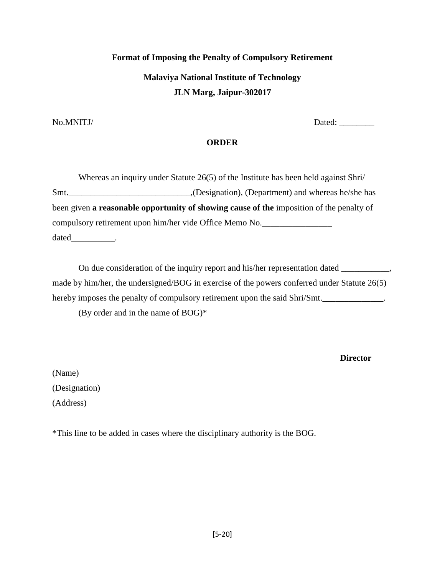# **Format of Imposing the Penalty of Compulsory Retirement Malaviya National Institute of Technology JLN Marg, Jaipur-302017**

No.MNITJ/ Dated: \_\_\_\_\_\_\_\_

### **ORDER**

Whereas an inquiry under Statute 26(5) of the Institute has been held against Shri/ Smt.\_\_\_\_\_\_\_\_\_\_\_\_\_\_\_\_\_\_\_\_\_\_\_\_\_\_\_\_,(Designation), (Department) and whereas he/she has been given **a reasonable opportunity of showing cause of the** imposition of the penalty of compulsory retirement upon him/her vide Office Memo No. dated\_\_\_\_\_\_\_\_\_\_\_\_\_.

On due consideration of the inquiry report and his/her representation dated \_\_\_\_\_\_\_\_\_, made by him/her, the undersigned/BOG in exercise of the powers conferred under Statute 26(5) hereby imposes the penalty of compulsory retirement upon the said Shri/Smt.

(By order and in the name of BOG)\*

**Director**

(Name) (Designation) (Address)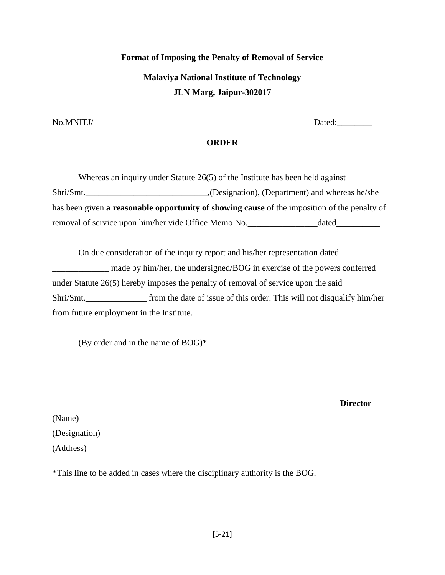# **Format of Imposing the Penalty of Removal of Service Malaviya National Institute of Technology JLN Marg, Jaipur-302017**

No.MNITJ/ Dated:

### **ORDER**

Whereas an inquiry under Statute 26(5) of the Institute has been held against Shri/Smt.\_\_\_\_\_\_\_\_\_\_\_\_\_\_\_\_\_\_\_\_\_\_\_\_\_\_\_\_,(Designation), (Department) and whereas he/she has been given **a reasonable opportunity of showing cause** of the imposition of the penalty of removal of service upon him/her vide Office Memo No.\_\_\_\_\_\_\_\_\_\_\_\_\_\_\_\_\_\_\_\_\_\_dated\_\_\_\_\_\_\_\_\_.

On due consideration of the inquiry report and his/her representation dated made by him/her, the undersigned/BOG in exercise of the powers conferred under Statute 26(5) hereby imposes the penalty of removal of service upon the said Shri/Smt.\_\_\_\_\_\_\_\_\_\_\_\_\_\_ from the date of issue of this order. This will not disqualify him/her from future employment in the Institute.

(By order and in the name of BOG)\*

**Director**

(Name) (Designation) (Address)